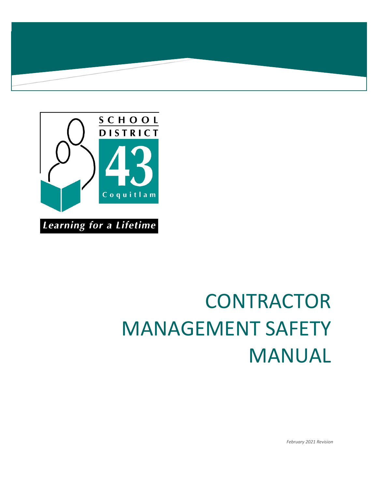



# **CONTRACTOR** MANAGEMENT SAFETY MANUAL

*February 2021 Revision*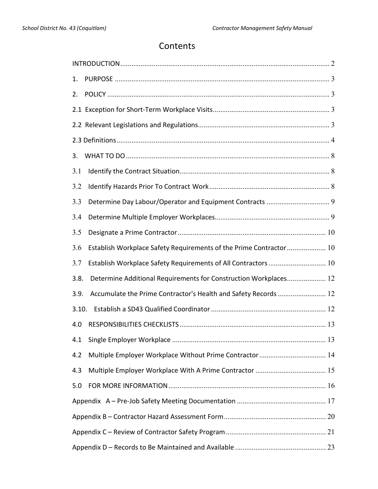# Contents

| 1.                                                                        |  |
|---------------------------------------------------------------------------|--|
| 2.                                                                        |  |
|                                                                           |  |
|                                                                           |  |
|                                                                           |  |
| 3.                                                                        |  |
| 3.1                                                                       |  |
| 3.2                                                                       |  |
| 3.3                                                                       |  |
| 3.4                                                                       |  |
| 3.5                                                                       |  |
| Establish Workplace Safety Requirements of the Prime Contractor 10<br>3.6 |  |
| Establish Workplace Safety Requirements of All Contractors  10<br>3.7     |  |
| Determine Additional Requirements for Construction Workplaces 12<br>3.8.  |  |
| Accumulate the Prime Contractor's Health and Safety Records  12<br>3.9.   |  |
| 3.10.                                                                     |  |
| 4.0                                                                       |  |
| 4.1                                                                       |  |
| Multiple Employer Workplace Without Prime Contractor 14<br>4.2            |  |
| 4.3                                                                       |  |
| 5.0                                                                       |  |
|                                                                           |  |
|                                                                           |  |
|                                                                           |  |
|                                                                           |  |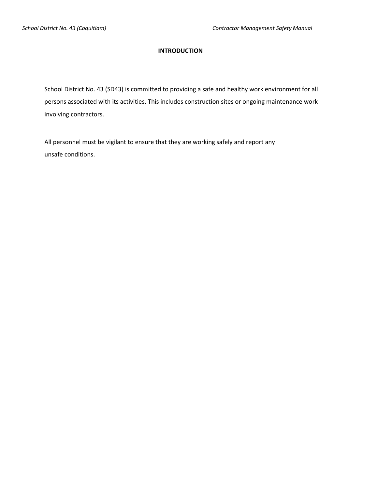#### **INTRODUCTION**

<span id="page-2-0"></span>School District No. 43 (SD43) is committed to providing a safe and healthy work environment for all persons associated with its activities. This includes construction sites or ongoing maintenance work involving contractors.

All personnel must be vigilant to ensure that they are working safely and report any unsafe conditions.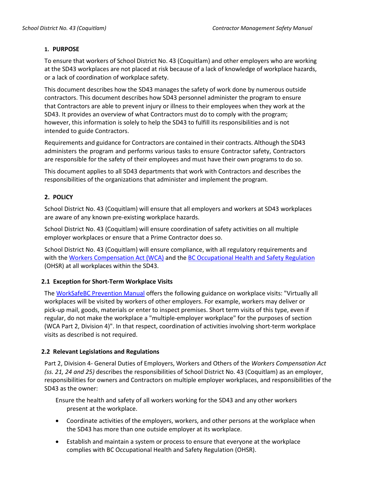#### <span id="page-3-0"></span>**1. PURPOSE**

To ensure that workers of School District No. 43 (Coquitlam) and other employers who are working at the SD43 workplaces are not placed at risk because of a lack of knowledge of workplace hazards, or a lack of coordination of workplace safety.

This document describes how the SD43 manages the safety of work done by numerous outside contractors. This document describes how SD43 personnel administer the program to ensure that Contractors are able to prevent injury or illness to their employees when they work at the SD43. It provides an overview of what Contractors must do to comply with the program; however, this information is solely to help the SD43 to fulfill its responsibilities and is not intended to guide Contractors.

Requirements and guidance for Contractors are contained in their contracts. Although the SD43 administers the program and performs various tasks to ensure Contractor safety, Contractors are responsible for the safety of their employees and must have their own programs to do so.

This document applies to all SD43 departments that work with Contractors and describes the responsibilities of the organizations that administer and implement the program.

# <span id="page-3-1"></span>**2. POLICY**

School District No. 43 (Coquitlam) will ensure that all employers and workers at SD43 workplaces are aware of any known pre-existing workplace hazards.

School District No. 43 (Coquitlam) will ensure coordination of safety activities on all multiple employer workplaces or ensure that a Prime Contractor does so.

School District No. 43 (Coquitlam) will ensure compliance, with all regulatory requirements and with the [Workers Compensation Act](https://www.worksafebc.com/en/law-policy/occupational-health-safety/searchable-ohs-regulation#collapse-307169EF25B84BBDB85858A58AB4BF8D) (WCA) and the BC [Occupational Health and Safety Regulation](https://www.worksafebc.com/en/law-policy/occupational-health-safety/searchable-ohs-regulation#collapse-1A122267060F44C5BDD6B654914E46F3) (OHSR) at all workplaces within the SD43.

# <span id="page-3-2"></span>**2.1 Exception for Short-Term Workplace Visits**

The WorkSafeBC [Prevention Manual](https://www.worksafebc.com/en/resources/law-policy/prevention-manual/prevention-manual?lang=en) offers the following guidance on workplace visits: "Virtually all workplaces will be visited by workers of other employers. For example, workers may deliver or pick-up mail, goods, materials or enter to inspect premises. Short term visits of this type, even if regular, do not make the workplace a "multiple-employer workplace" for the purposes of section (WCA Part 2, Division 4)". In that respect, coordination of activities involving short-term workplace visits as described is not required.

# <span id="page-3-3"></span>**2.2 Relevant Legislations and Regulations**

Part 2, Division 4- General Duties of Employers, Workers and Others of the *Workers Compensation Act (ss. 21, 24 and 25)* describes the responsibilities of School District No. 43 (Coquitlam) as an employer, responsibilities for owners and Contractors on multiple employer workplaces, and responsibilities of the SD43 as the owner:

Ensure the health and safety of all workers working for the SD43 and any other workers present at the workplace.

- Coordinate activities of the employers, workers, and other persons at the workplace when the SD43 has more than one outside employer at its workplace.
- Establish and maintain a system or process to ensure that everyone at the workplace complies with BC Occupational Health and Safety Regulation (OHSR).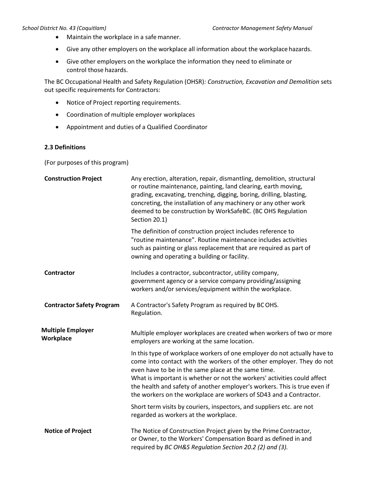- Maintain the workplace in a safemanner.
- Give any other employers on the workplace all information about the workplace hazards.
- Give other employers on the workplace the information they need to eliminate or control those hazards.

The BC Occupational Health and Safety Regulation (OHSR)*: Construction, Excavation and Demolition* sets out specific requirements for Contractors:

- Notice of Project reporting requirements.
- Coordination of multiple employer workplaces
- Appointment and duties of a Qualified Coordinator

#### <span id="page-4-0"></span>**2.3 Definitions**

(For purposes of this program)

| <b>Construction Project</b>           | Any erection, alteration, repair, dismantling, demolition, structural<br>or routine maintenance, painting, land clearing, earth moving,<br>grading, excavating, trenching, digging, boring, drilling, blasting,<br>concreting, the installation of any machinery or any other work<br>deemed to be construction by WorkSafeBC. (BC OHS Regulation<br>Section 20.1)                                                                       |
|---------------------------------------|------------------------------------------------------------------------------------------------------------------------------------------------------------------------------------------------------------------------------------------------------------------------------------------------------------------------------------------------------------------------------------------------------------------------------------------|
|                                       | The definition of construction project includes reference to<br>"routine maintenance". Routine maintenance includes activities<br>such as painting or glass replacement that are required as part of<br>owning and operating a building or facility.                                                                                                                                                                                     |
| <b>Contractor</b>                     | Includes a contractor, subcontractor, utility company,<br>government agency or a service company providing/assigning<br>workers and/or services/equipment within the workplace.                                                                                                                                                                                                                                                          |
| <b>Contractor Safety Program</b>      | A Contractor's Safety Program as required by BCOHS.<br>Regulation.                                                                                                                                                                                                                                                                                                                                                                       |
| <b>Multiple Employer</b><br>Workplace | Multiple employer workplaces are created when workers of two or more<br>employers are working at the same location.                                                                                                                                                                                                                                                                                                                      |
|                                       | In this type of workplace workers of one employer do not actually have to<br>come into contact with the workers of the other employer. They do not<br>even have to be in the same place at the same time.<br>What is important is whether or not the workers' activities could affect<br>the health and safety of another employer's workers. This is true even if<br>the workers on the workplace are workers of SD43 and a Contractor. |
|                                       | Short term visits by couriers, inspectors, and suppliers etc. are not<br>regarded as workers at the workplace.                                                                                                                                                                                                                                                                                                                           |
| <b>Notice of Project</b>              | The Notice of Construction Project given by the Prime Contractor,<br>or Owner, to the Workers' Compensation Board as defined in and<br>required by BC OH&S Regulation Section 20.2 (2) and (3).                                                                                                                                                                                                                                          |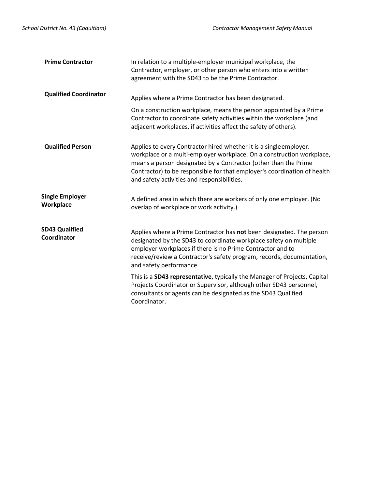| <b>Prime Contractor</b>              | In relation to a multiple-employer municipal workplace, the<br>Contractor, employer, or other person who enters into a written<br>agreement with the SD43 to be the Prime Contractor.                                                                                                                                                     |
|--------------------------------------|-------------------------------------------------------------------------------------------------------------------------------------------------------------------------------------------------------------------------------------------------------------------------------------------------------------------------------------------|
| <b>Qualified Coordinator</b>         | Applies where a Prime Contractor has been designated.                                                                                                                                                                                                                                                                                     |
|                                      | On a construction workplace, means the person appointed by a Prime<br>Contractor to coordinate safety activities within the workplace (and<br>adjacent workplaces, if activities affect the safety of others).                                                                                                                            |
| <b>Qualified Person</b>              | Applies to every Contractor hired whether it is a single employer.<br>workplace or a multi-employer workplace. On a construction workplace,<br>means a person designated by a Contractor (other than the Prime<br>Contractor) to be responsible for that employer's coordination of health<br>and safety activities and responsibilities. |
| <b>Single Employer</b><br>Workplace  | A defined area in which there are workers of only one employer. (No<br>overlap of workplace or work activity.)                                                                                                                                                                                                                            |
| <b>SD43 Qualified</b><br>Coordinator | Applies where a Prime Contractor has not been designated. The person<br>designated by the SD43 to coordinate workplace safety on multiple<br>employer workplaces if there is no Prime Contractor and to<br>receive/review a Contractor's safety program, records, documentation,<br>and safety performance.                               |
|                                      | This is a SD43 representative, typically the Manager of Projects, Capital<br>Projects Coordinator or Supervisor, although other SD43 personnel,<br>consultants or agents can be designated as the SD43 Qualified<br>Coordinator.                                                                                                          |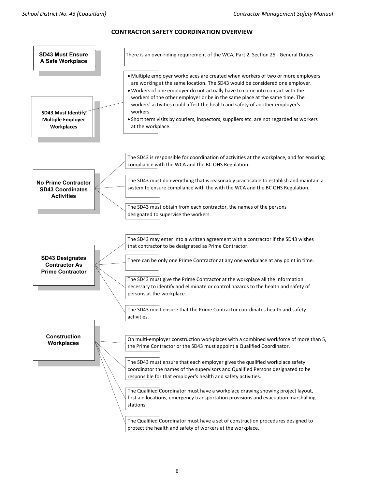

#### **CONTRACTOR SAFETY COORDINATION OVERVIEW**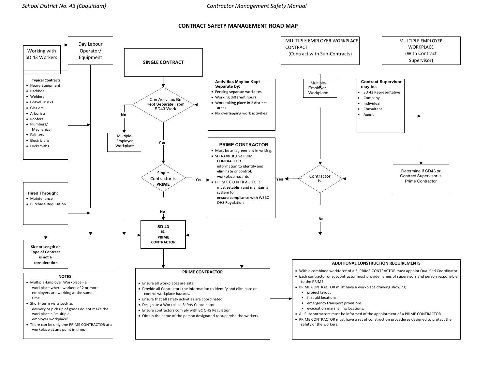#### **CONTRACT SAFETY MANAGEMENT ROAD MAP**

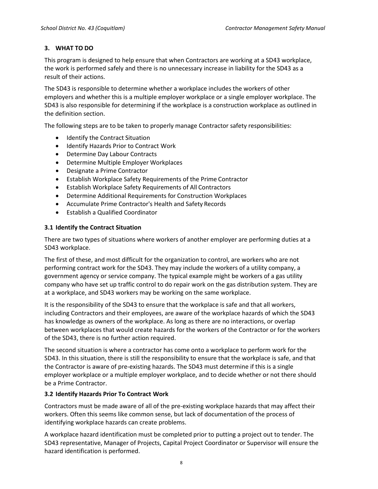#### <span id="page-8-0"></span>**3. WHAT TO DO**

This program is designed to help ensure that when Contractors are working at a SD43 workplace, the work is performed safely and there is no unnecessary increase in liability for the SD43 as a result of their actions.

The SD43 is responsible to determine whether a workplace includes the workers of other employers and whether this is a multiple employer workplace or a single employer workplace. The SD43 is also responsible for determining if the workplace is a construction workplace as outlined in the definition section.

The following steps are to be taken to properly manage Contractor safety responsibilities:

- Identify the Contract Situation
- Identify Hazards Prior to Contract Work
- Determine Day Labour Contracts
- Determine Multiple Employer Workplaces
- Designate a Prime Contractor
- Establish Workplace Safety Requirements of the Prime Contractor
- Establish Workplace Safety Requirements of All Contractors
- Determine Additional Requirements for Construction Workplaces
- Accumulate Prime Contractor's Health and Safety Records
- Establish a Qualified Coordinator

#### <span id="page-8-1"></span>**3.1 Identify the Contract Situation**

There are two types of situations where workers of another employer are performing duties at a SD43 workplace.

The first of these, and most difficult for the organization to control, are workers who are not performing contract work for the SD43. They may include the workers of a utility company, a government agency or service company. The typical example might be workers of a gas utility company who have set up traffic control to do repair work on the gas distribution system. They are at a workplace, and SD43 workers may be working on the same workplace.

It is the responsibility of the SD43 to ensure that the workplace is safe and that all workers, including Contractors and their employees, are aware of the workplace hazards of which the SD43 has knowledge as owners of the workplace. As long as there are no interactions, or overlap between workplaces that would create hazards for the workers of the Contractor or for the workers of the SD43, there is no further action required.

The second situation is where a contractor has come onto a workplace to perform work for the SD43. In this situation, there is still the responsibility to ensure that the workplace is safe, and that the Contractor is aware of pre-existing hazards. The SD43 must determine if this is a single employer workplace or a multiple employer workplace, and to decide whether or not there should be a Prime Contractor.

#### <span id="page-8-2"></span>**3.2 Identify Hazards Prior To Contract Work**

Contractors must be made aware of all of the pre-existing workplace hazards that may affect their workers. Often this seems like common sense, but lack of documentation of the process of identifying workplace hazards can create problems.

A workplace hazard identification must be completed prior to putting a project out to tender. The SD43 representative, Manager of Projects, Capital Project Coordinator or Supervisor will ensure the hazard identification is performed.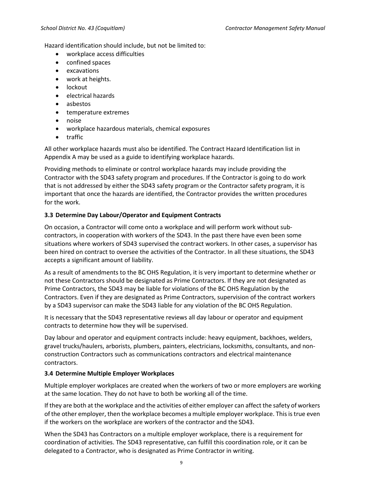Hazard identification should include, but not be limited to:

- workplace access difficulties
- confined spaces
- excavations
- work at heights.
- lockout
- electrical hazards
- asbestos
- temperature extremes
- noise
- workplace hazardous materials, chemical exposures
- traffic

All other workplace hazards must also be identified. The Contract Hazard Identification list in Appendix A may be used as a guide to identifying workplace hazards.

Providing methods to eliminate or control workplace hazards may include providing the Contractor with the SD43 safety program and procedures. If the Contractor is going to do work that is not addressed by either the SD43 safety program or the Contractor safety program, it is important that once the hazards are identified, the Contractor provides the written procedures for the work.

# <span id="page-9-0"></span>**3.3 Determine Day Labour/Operator and Equipment Contracts**

On occasion, a Contractor will come onto a workplace and will perform work without subcontractors, in cooperation with workers of the SD43. In the past there have even been some situations where workers of SD43 supervised the contract workers. In other cases, a supervisor has been hired on contract to oversee the activities of the Contractor. In all these situations, the SD43 accepts a significant amount of liability.

As a result of amendments to the BC OHS Regulation, it is very important to determine whether or not these Contractors should be designated as Prime Contractors. If they are not designated as Prime Contractors, the SD43 may be liable for violations of the BC OHS Regulation by the Contractors. Even if they are designated as Prime Contractors, supervision of the contract workers by a SD43 supervisor can make the SD43 liable for any violation of the BC OHS Regulation.

It is necessary that the SD43 representative reviews all day labour or operator and equipment contracts to determine how they will be supervised.

Day labour and operator and equipment contracts include: heavy equipment, backhoes, welders, gravel trucks/haulers, arborists, plumbers, painters, electricians, locksmiths, consultants, and nonconstruction Contractors such as communications contractors and electrical maintenance contractors.

# <span id="page-9-1"></span>**3.4 Determine Multiple Employer Workplaces**

Multiple employer workplaces are created when the workers of two or more employers are working at the same location. They do not have to both be working all of the time.

If they are both at the workplace and the activities of either employer can affect the safety of workers of the other employer, then the workplace becomes a multiple employer workplace. This is true even if the workers on the workplace are workers of the contractor and the SD43.

When the SD43 has Contractors on a multiple employer workplace, there is a requirement for coordination of activities. The SD43 representative, can fulfill this coordination role, or it can be delegated to a Contractor, who is designated as Prime Contractor in writing.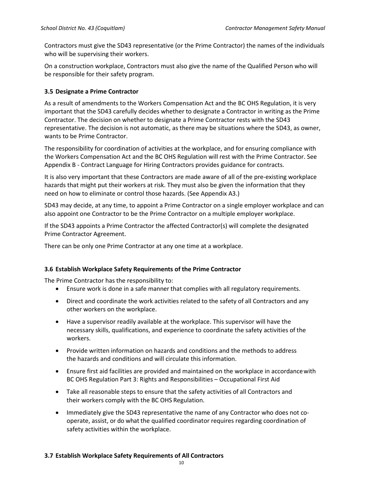Contractors must give the SD43 representative (or the Prime Contractor) the names of the individuals who will be supervising their workers.

On a construction workplace, Contractors must also give the name of the Qualified Person who will be responsible for their safety program.

#### <span id="page-10-0"></span>**3.5 Designate a Prime Contractor**

As a result of amendments to the Workers Compensation Act and the BC OHS Regulation, it is very important that the SD43 carefully decides whether to designate a Contractor in writing as the Prime Contractor. The decision on whether to designate a Prime Contractor rests with the SD43 representative. The decision is not automatic, as there may be situations where the SD43, as owner, wants to be Prime Contractor.

The responsibility for coordination of activities at the workplace, and for ensuring compliance with the Workers Compensation Act and the BC OHS Regulation will rest with the Prime Contractor. See Appendix B - Contract Language for Hiring Contractors provides guidance for contracts.

It is also very important that these Contractors are made aware of all of the pre-existing workplace hazards that might put their workers at risk. They must also be given the information that they need on how to eliminate or control those hazards. (See Appendix A3.)

SD43 may decide, at any time, to appoint a Prime Contractor on a single employer workplace and can also appoint one Contractor to be the Prime Contractor on a multiple employer workplace.

If the SD43 appoints a Prime Contractor the affected Contractor(s) will complete the designated Prime Contractor Agreement.

There can be only one Prime Contractor at any one time at a workplace.

#### <span id="page-10-1"></span>**3.6 Establish Workplace Safety Requirements of the Prime Contractor**

The Prime Contractor has the responsibility to:

- Ensure work is done in a safe manner that complies with all regulatory requirements.
- Direct and coordinate the work activities related to the safety of all Contractors and any other workers on the workplace.
- Have a supervisor readily available at the workplace. This supervisor will have the necessary skills, qualifications, and experience to coordinate the safety activities of the workers.
- Provide written information on hazards and conditions and the methods to address the hazards and conditions and will circulate this information.
- Ensure first aid facilities are provided and maintained on the workplace in accordancewith BC OHS Regulation Part 3: Rights and Responsibilities – Occupational First Aid
- Take all reasonable steps to ensure that the safety activities of all Contractors and their workers comply with the BC OHS Regulation.
- Immediately give the SD43 representative the name of any Contractor who does not cooperate, assist, or do what the qualified coordinator requires regarding coordination of safety activities within the workplace.

#### <span id="page-10-2"></span>**3.7 Establish Workplace Safety Requirements of All Contractors**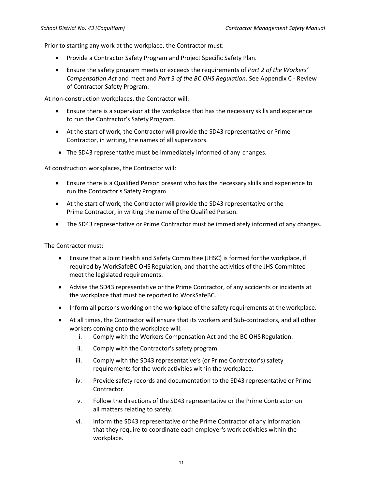Prior to starting any work at the workplace, the Contractor must:

- Provide a Contractor Safety Program and Project Specific Safety Plan.
- Ensure the safety program meets or exceeds the requirements of *Part 2 of the Workers' Compensation Act* and meet and *Part 3 of the BC OHS Regulation*. See Appendix C - Review of Contractor Safety Program.

At non-construction workplaces, the Contractor will:

- Ensure there is a supervisor at the workplace that has the necessary skills and experience to run the Contractor's Safety Program.
- At the start of work, the Contractor will provide the SD43 representative or Prime Contractor, in writing, the names of all supervisors.
- The SD43 representative must be immediately informed of any changes.

At construction workplaces, the Contractor will:

- Ensure there is a Qualified Person present who has the necessary skills and experience to run the Contractor's Safety Program
- At the start of work, the Contractor will provide the SD43 representative or the Prime Contractor, in writing the name of the Qualified Person.
- The SD43 representative or Prime Contractor must be immediately informed of any changes.

The Contractor must:

- Ensure that a Joint Health and Safety Committee (JHSC) is formed for the workplace, if required by WorkSafeBC OHS Regulation, and that the activities of the JHS Committee meet the legislated requirements.
- Advise the SD43 representative or the Prime Contractor, of any accidents or incidents at the workplace that must be reported to WorkSafeBC.
- Inform all persons working on the workplace of the safety requirements at the workplace.
- At all times, the Contractor will ensure that its workers and Sub-contractors, and all other workers coming onto the workplace will:
	- i. Comply with the Workers Compensation Act and the BC OHS Regulation.
	- ii. Comply with the Contractor's safety program.
	- iii. Comply with the SD43 representative's (or Prime Contractor's) safety requirements for the work activities within the workplace.
	- iv. Provide safety records and documentation to the SD43 representative or Prime Contractor.
	- v. Follow the directions of the SD43 representative or the Prime Contractor on all matters relating to safety.
	- vi. Inform the SD43 representative or the Prime Contractor of any information that they require to coordinate each employer's work activities within the workplace.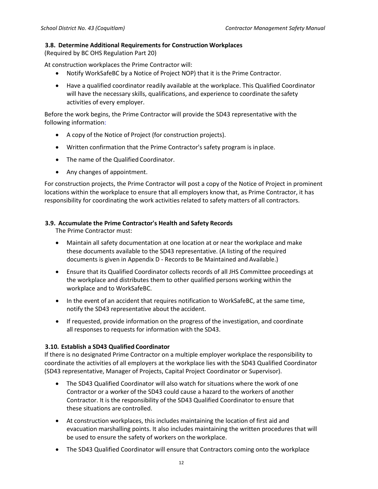#### <span id="page-12-0"></span>**3.8. Determine Additional Requirements for Construction Workplaces**

(Required by BC OHS Regulation Part 20)

At construction workplaces the Prime Contractor will:

- Notify WorkSafeBC by a Notice of Project NOP) that it is the Prime Contractor.
- Have a qualified coordinator readily available at the workplace. This Qualified Coordinator will have the necessary skills, qualifications, and experience to coordinate thesafety activities of every employer.

Before the work begins, the Prime Contractor will provide the SD43 representative with the following information:

- A copy of the Notice of Project (for construction projects).
- Written confirmation that the Prime Contractor's safety program is inplace.
- The name of the Qualified Coordinator.
- Any changes of appointment.

For construction projects, the Prime Contractor will post a copy of the Notice of Project in prominent locations within the workplace to ensure that all employers know that, as Prime Contractor, it has responsibility for coordinating the work activities related to safety matters of all contractors.

#### <span id="page-12-1"></span>**3.9. Accumulate the Prime Contractor's Health and Safety Records**

The Prime Contractor must:

- Maintain all safety documentation at one location at or near the workplace and make these documents available to the SD43 representative. (A listing of the required documents is given in Appendix D - Records to Be Maintained and Available.)
- Ensure that its Qualified Coordinator collects records of all JHS Committee proceedings at the workplace and distributes them to other qualified persons working within the workplace and to WorkSafeBC.
- In the event of an accident that requires notification to WorkSafeBC, at the same time, notify the SD43 representative about the accident.
- If requested, provide information on the progress of the investigation, and coordinate all responses to requests for information with the SD43.

#### <span id="page-12-2"></span>**3.10. Establish a SD43 Qualified Coordinator**

If there is no designated Prime Contractor on a multiple employer workplace the responsibility to coordinate the activities of all employers at the workplace lies with the SD43 Qualified Coordinator (SD43 representative, Manager of Projects, Capital Project Coordinator or Supervisor).

- The SD43 Qualified Coordinator will also watch for situations where the work of one Contractor or a worker of the SD43 could cause a hazard to the workers of another Contractor. It is the responsibility of the SD43 Qualified Coordinator to ensure that these situations are controlled.
- At construction workplaces, this includes maintaining the location of first aid and evacuation marshalling points. It also includes maintaining the written procedures that will be used to ensure the safety of workers on the workplace.
- The SD43 Qualified Coordinator will ensure that Contractors coming onto the workplace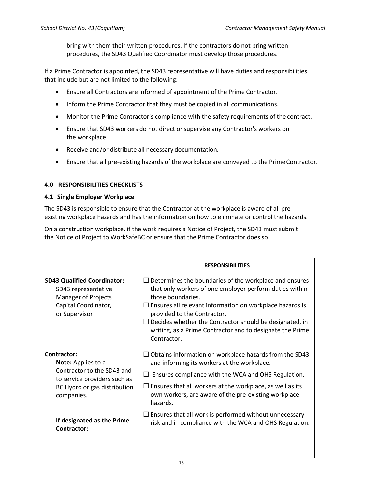bring with them their written procedures. If the contractors do not bring written procedures, the SD43 Qualified Coordinator must develop those procedures.

If a Prime Contractor is appointed, the SD43 representative will have duties and responsibilities that include but are not limited to the following:

- Ensure all Contractors are informed of appointment of the Prime Contractor.
- Inform the Prime Contractor that they must be copied in all communications.
- Monitor the Prime Contractor's compliance with the safety requirements of the contract.
- Ensure that SD43 workers do not direct or supervise any Contractor's workers on the workplace.
- Receive and/or distribute all necessary documentation.
- Ensure that all pre-existing hazards of the workplace are conveyed to the Prime Contractor.

# <span id="page-13-0"></span>**4.0 RESPONSIBILITIES CHECKLISTS**

#### <span id="page-13-1"></span>**4.1 Single Employer Workplace**

The SD43 is responsible to ensure that the Contractor at the workplace is aware of all preexisting workplace hazards and has the information on how to eliminate or control the hazards.

On a construction workplace, if the work requires a Notice of Project, the SD43 must submit the Notice of Project to WorkSafeBC or ensure that the Prime Contractor does so.

|                                                                                                                                               | <b>RESPONSIBILITIES</b>                                                                                                                                                                                                                                                                                                                                                  |
|-----------------------------------------------------------------------------------------------------------------------------------------------|--------------------------------------------------------------------------------------------------------------------------------------------------------------------------------------------------------------------------------------------------------------------------------------------------------------------------------------------------------------------------|
| <b>SD43 Qualified Coordinator:</b><br>SD43 representative<br><b>Manager of Projects</b><br>Capital Coordinator,<br>or Supervisor              | Determines the boundaries of the workplace and ensures<br>that only workers of one employer perform duties within<br>those boundaries.<br>Ensures all relevant information on workplace hazards is<br>provided to the Contractor.<br>Decides whether the Contractor should be designated, in<br>writing, as a Prime Contractor and to designate the Prime<br>Contractor. |
| Contractor:<br>Note: Applies to a<br>Contractor to the SD43 and<br>to service providers such as<br>BC Hydro or gas distribution<br>companies. | Obtains information on workplace hazards from the SD43<br>and informing its workers at the workplace.<br>Ensures compliance with the WCA and OHS Regulation.<br>ப<br>$\Box$ Ensures that all workers at the workplace, as well as its<br>own workers, are aware of the pre-existing workplace<br>hazards.                                                                |
| If designated as the Prime<br>Contractor:                                                                                                     | $\Box$ Ensures that all work is performed without unnecessary<br>risk and in compliance with the WCA and OHS Regulation.                                                                                                                                                                                                                                                 |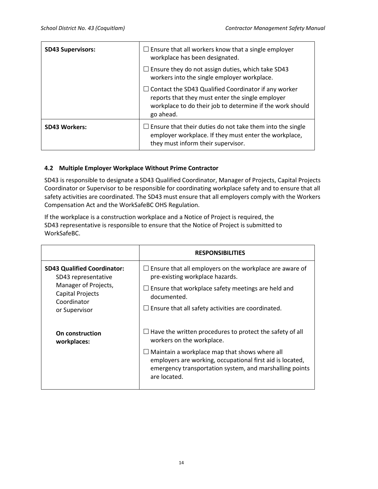| <b>SD43 Supervisors:</b> | $\Box$ Ensure that all workers know that a single employer<br>workplace has been designated.                                                                                              |  |  |  |  |  |  |
|--------------------------|-------------------------------------------------------------------------------------------------------------------------------------------------------------------------------------------|--|--|--|--|--|--|
|                          | $\Box$ Ensure they do not assign duties, which take SD43<br>workers into the single employer workplace.                                                                                   |  |  |  |  |  |  |
|                          | $\Box$ Contact the SD43 Qualified Coordinator if any worker<br>reports that they must enter the single employer<br>workplace to do their job to determine if the work should<br>go ahead. |  |  |  |  |  |  |
| <b>SD43 Workers:</b>     | $\Box$ Ensure that their duties do not take them into the single<br>employer workplace. If they must enter the workplace,<br>they must inform their supervisor.                           |  |  |  |  |  |  |

#### <span id="page-14-0"></span>**4.2 Multiple Employer Workplace Without Prime Contractor**

SD43 is responsible to designate a SD43 Qualified Coordinator, Manager of Projects, Capital Projects Coordinator or Supervisor to be responsible for coordinating workplace safety and to ensure that all safety activities are coordinated. The SD43 must ensure that all employers comply with the Workers Compensation Act and the WorkSafeBC OHS Regulation.

If the workplace is a construction workplace and a Notice of Project is required, the SD43 representative is responsible to ensure that the Notice of Project is submitted to WorkSafeBC.

|                                                           | <b>RESPONSIBILITIES</b>                                                                                                                                                               |
|-----------------------------------------------------------|---------------------------------------------------------------------------------------------------------------------------------------------------------------------------------------|
| <b>SD43 Qualified Coordinator:</b><br>SD43 representative | Ensure that all employers on the workplace are aware of<br>pre-existing workplace hazards.                                                                                            |
| Manager of Projects,<br>Capital Projects<br>Coordinator   | Ensure that workplace safety meetings are held and<br>documented.                                                                                                                     |
| or Supervisor                                             | $\Box$ Ensure that all safety activities are coordinated.                                                                                                                             |
| On construction<br>workplaces:                            | Have the written procedures to protect the safety of all<br>workers on the workplace.                                                                                                 |
|                                                           | Maintain a workplace map that shows where all<br>employers are working, occupational first aid is located,<br>emergency transportation system, and marshalling points<br>are located. |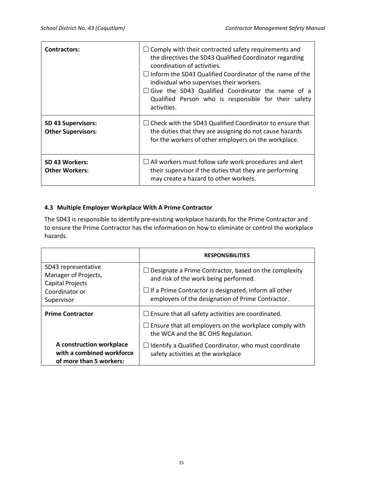| <b>Contractors:</b>                                    | $\Box$ Comply with their contracted safety requirements and<br>the directives the SD43 Qualified Coordinator regarding<br>coordination of activities.<br>$\Box$ Inform the SD43 Qualified Coordinator of the name of the<br>individual who supervises their workers.<br>$\Box$ Give the SD43 Qualified Coordinator the name of a<br>Qualified Person who is responsible for their safety<br>activities. |
|--------------------------------------------------------|---------------------------------------------------------------------------------------------------------------------------------------------------------------------------------------------------------------------------------------------------------------------------------------------------------------------------------------------------------------------------------------------------------|
| <b>SD 43 Supervisors:</b><br><b>Other Supervisors:</b> | $\Box$ Check with the SD43 Qualified Coordinator to ensure that<br>the duties that they are assigning do not cause hazards<br>for the workers of other employers on the workplace.                                                                                                                                                                                                                      |
| SD 43 Workers:<br><b>Other Workers:</b>                | $\Box$ All workers must follow safe work procedures and alert<br>their supervisor if the duties that they are performing<br>may create a hazard to other workers.                                                                                                                                                                                                                                       |

#### <span id="page-15-0"></span>**4.3 Multiple Employer Workplace With A Prime Contractor**

The SD43 is responsible to identify pre-existing workplace hazards for the Prime Contractor and to ensure the Prime Contractor has the information on how to eliminate or control the workplace hazards.

|                                                                                  | <b>RESPONSIBILITIES</b>                                                                                           |  |  |
|----------------------------------------------------------------------------------|-------------------------------------------------------------------------------------------------------------------|--|--|
| SD43 representative<br>Manager of Projects,<br><b>Capital Projects</b>           | Designate a Prime Contractor, based on the complexity<br>and risk of the work being performed.                    |  |  |
| Coordinator or<br>Supervisor                                                     | $\Box$ If a Prime Contractor is designated, inform all other<br>employers of the designation of Prime Contractor. |  |  |
| <b>Prime Contractor</b>                                                          | $\Box$ Ensure that all safety activities are coordinated.                                                         |  |  |
|                                                                                  | $\Box$ Ensure that all employers on the workplace comply with<br>the WCA and the BC OHS Regulation.               |  |  |
| A construction workplace<br>with a combined workforce<br>of more than 5 workers: | Identify a Qualified Coordinator, who must coordinate<br>safety activities at the workplace                       |  |  |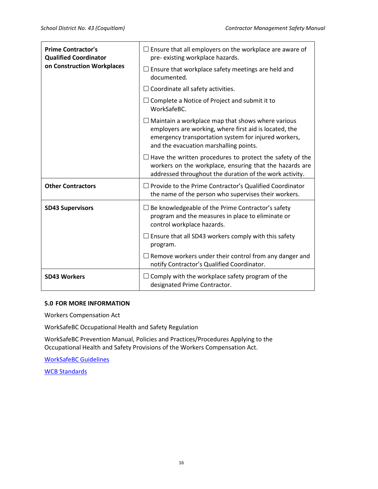| <b>Prime Contractor's</b><br><b>Qualified Coordinator</b><br>on Construction Workplaces | $\Box$ Ensure that all employers on the workplace are aware of<br>pre-existing workplace hazards.<br>$\Box$ Ensure that workplace safety meetings are held and<br>documented.                                        |  |
|-----------------------------------------------------------------------------------------|----------------------------------------------------------------------------------------------------------------------------------------------------------------------------------------------------------------------|--|
|                                                                                         | $\Box$ Coordinate all safety activities.                                                                                                                                                                             |  |
|                                                                                         | $\Box$ Complete a Notice of Project and submit it to<br>WorkSafeBC.                                                                                                                                                  |  |
|                                                                                         | $\Box$ Maintain a workplace map that shows where various<br>employers are working, where first aid is located, the<br>emergency transportation system for injured workers,<br>and the evacuation marshalling points. |  |
|                                                                                         | $\Box$ Have the written procedures to protect the safety of the<br>workers on the workplace, ensuring that the hazards are<br>addressed throughout the duration of the work activity.                                |  |
| <b>Other Contractors</b>                                                                | Provide to the Prime Contractor's Qualified Coordinator<br>the name of the person who supervises their workers.                                                                                                      |  |
| <b>SD43 Supervisors</b>                                                                 | Be knowledgeable of the Prime Contractor's safety<br>program and the measures in place to eliminate or<br>control workplace hazards.                                                                                 |  |
|                                                                                         | $\Box$ Ensure that all SD43 workers comply with this safety<br>program.                                                                                                                                              |  |
|                                                                                         | $\Box$ Remove workers under their control from any danger and<br>notify Contractor's Qualified Coordinator.                                                                                                          |  |
| <b>SD43 Workers</b>                                                                     | Comply with the workplace safety program of the<br>designated Prime Contractor.                                                                                                                                      |  |

#### <span id="page-16-0"></span>**5.0 FOR MORE INFORMATION**

Workers Compensation Act

WorkSafeBC Occupational Health and Safety Regulation

WorkSafeBC Prevention Manual, Policies and Practices/Procedures Applying to the Occupational Health and Safety Provisions of the Workers Compensation Act.

[WorkSafeBC Guidelines](https://www.worksafebc.com/en/law-policy/occupational-health-safety/searchable-ohs-regulation/ohs-guidelines/guidelines-for-workers-compensation-act)

[WCB Standards](https://www.worksafebc.com/en/law-policy/occupational-health-safety/searchable-ohs-regulation/wcb-standards/wcb-standards)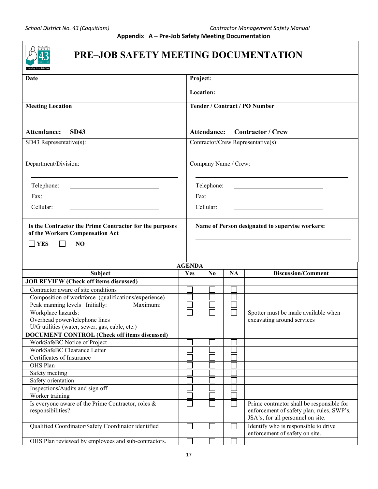<span id="page-17-0"></span>

# **PRE–JOB SAFETY MEETING DOCUMENTATION**

| Date                                                                                                           | Project:      |                      |           |                                                                                                                             |  |
|----------------------------------------------------------------------------------------------------------------|---------------|----------------------|-----------|-----------------------------------------------------------------------------------------------------------------------------|--|
|                                                                                                                |               | Location:            |           |                                                                                                                             |  |
| <b>Meeting Location</b>                                                                                        |               |                      |           | <b>Tender / Contract / PO Number</b>                                                                                        |  |
|                                                                                                                |               |                      |           |                                                                                                                             |  |
|                                                                                                                |               |                      |           |                                                                                                                             |  |
| <b>SD43</b><br><b>Attendance:</b>                                                                              |               | <b>Attendance:</b>   |           | <b>Contractor / Crew</b>                                                                                                    |  |
| SD43 Representative(s):                                                                                        |               |                      |           | Contractor/Crew Representative(s):                                                                                          |  |
|                                                                                                                |               |                      |           |                                                                                                                             |  |
| Department/Division:                                                                                           |               | Company Name / Crew: |           |                                                                                                                             |  |
| Telephone:                                                                                                     |               | Telephone:           |           |                                                                                                                             |  |
|                                                                                                                |               |                      |           |                                                                                                                             |  |
| Fax:                                                                                                           |               | Fax:                 |           |                                                                                                                             |  |
| Cellular:                                                                                                      |               | Cellular:            |           |                                                                                                                             |  |
| Is the Contractor the Prime Contractor for the purposes<br>of the Workers Compensation Act<br><b>YES</b><br>NO |               |                      |           | Name of Person designated to supervise workers:                                                                             |  |
|                                                                                                                | <b>AGENDA</b> |                      |           |                                                                                                                             |  |
| Subject                                                                                                        | Yes           | $\bf No$             | <b>NA</b> | <b>Discussion/Comment</b>                                                                                                   |  |
| <b>JOB REVIEW (Check off items discussed)</b>                                                                  |               |                      |           |                                                                                                                             |  |
| Contractor aware of site conditions                                                                            |               |                      |           |                                                                                                                             |  |
| Composition of workforce (qualifications/experience)                                                           |               |                      |           |                                                                                                                             |  |
| Peak manning levels Initially:<br>Maximum:                                                                     |               |                      |           |                                                                                                                             |  |
| Workplace hazards:                                                                                             |               |                      |           | Spotter must be made available when                                                                                         |  |
| Overhead power/telephone lines                                                                                 |               |                      |           | excavating around services                                                                                                  |  |
| U/G utilities (water, sewer, gas, cable, etc.)                                                                 |               |                      |           |                                                                                                                             |  |
| <b>DOCUMENT CONTROL (Check off items discussed)</b>                                                            |               |                      |           |                                                                                                                             |  |
| WorkSafeBC Notice of Project                                                                                   |               |                      |           |                                                                                                                             |  |
| WorkSafeBC Clearance Letter                                                                                    |               |                      |           |                                                                                                                             |  |
| Certificates of Insurance                                                                                      |               |                      |           |                                                                                                                             |  |
| OHS Plan                                                                                                       |               |                      |           |                                                                                                                             |  |
| Safety meeting                                                                                                 |               |                      |           |                                                                                                                             |  |
| Safety orientation                                                                                             |               |                      |           |                                                                                                                             |  |
| Inspections/Audits and sign off                                                                                |               |                      |           |                                                                                                                             |  |
| Worker training                                                                                                |               |                      |           |                                                                                                                             |  |
| Is everyone aware of the Prime Contractor, roles &<br>responsibilities?                                        |               |                      |           | Prime contractor shall be responsible for<br>enforcement of safety plan, rules, SWP's,<br>JSA's, for all personnel on site. |  |
| Qualified Coordinator/Safety Coordinator identified                                                            |               |                      |           | Identify who is responsible to drive<br>enforcement of safety on site.                                                      |  |
| OHS Plan reviewed by employees and sub-contractors.                                                            |               |                      |           |                                                                                                                             |  |
|                                                                                                                |               |                      |           |                                                                                                                             |  |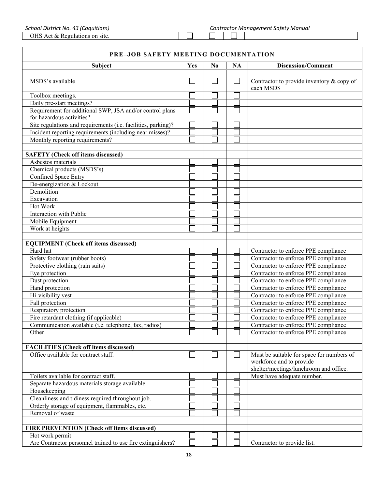OHS Act & Regulations on site.

#### **PRE–JOB SAFETY MEETING DOCUMENTATION**

| Subject                                                       | Yes | N <sub>0</sub> | <b>NA</b> | <b>Discussion/Comment</b>                              |
|---------------------------------------------------------------|-----|----------------|-----------|--------------------------------------------------------|
|                                                               |     |                |           |                                                        |
| MSDS's available                                              |     |                |           | Contractor to provide inventory & copy of<br>each MSDS |
| Toolbox meetings.                                             |     |                |           |                                                        |
| Daily pre-start meetings?                                     |     |                |           |                                                        |
| Requirement for additional SWP, JSA and/or control plans      |     |                |           |                                                        |
| for hazardous activities?                                     |     |                |           |                                                        |
| Site regulations and requirements (i.e. facilities, parking)? |     |                |           |                                                        |
| Incident reporting requirements (including near misses)?      |     |                |           |                                                        |
| Monthly reporting requirements?                               |     |                |           |                                                        |
|                                                               |     |                |           |                                                        |
| <b>SAFETY (Check off items discussed)</b>                     |     |                |           |                                                        |
| Asbestos materials                                            |     |                |           |                                                        |
| Chemical products (MSDS's)                                    |     |                |           |                                                        |
| Confined Space Entry                                          |     |                |           |                                                        |
| De-energization & Lockout                                     |     |                |           |                                                        |
| Demolition                                                    |     |                |           |                                                        |
| Excavation                                                    |     |                |           |                                                        |
| Hot Work                                                      |     |                |           |                                                        |
| Interaction with Public                                       |     |                |           |                                                        |
| Mobile Equipment                                              |     |                |           |                                                        |
| Work at heights                                               |     |                |           |                                                        |
|                                                               |     |                |           |                                                        |
| <b>EQUIPMENT</b> (Check off items discussed)                  |     |                |           |                                                        |
| Hard hat                                                      |     |                |           | Contractor to enforce PPE compliance                   |
| Safety footwear (rubber boots)                                |     |                |           | Contractor to enforce PPE compliance                   |
| Protective clothing (rain suits)                              |     |                |           | Contractor to enforce PPE compliance                   |
| Eye protection                                                |     |                |           | Contractor to enforce PPE compliance                   |
| Dust protection                                               |     |                |           | Contractor to enforce PPE compliance                   |
| Hand protection                                               |     |                |           | Contractor to enforce PPE compliance                   |
| Hi-visibility vest                                            |     |                |           | Contractor to enforce PPE compliance                   |
| Fall protection                                               |     |                |           | Contractor to enforce PPE compliance                   |
| Respiratory protection                                        |     |                |           | Contractor to enforce PPE compliance                   |
| Fire retardant clothing (if applicable)                       |     |                |           | Contractor to enforce PPE compliance                   |
| Communication available (i.e. telephone, fax, radios)         |     |                |           | Contractor to enforce PPE compliance                   |
| Other                                                         |     |                |           | Contractor to enforce PPE compliance                   |
|                                                               |     |                |           |                                                        |
| <b>FACILITIES</b> (Check off items discussed)                 |     |                |           |                                                        |
| Office available for contract staff.                          |     |                |           | Must be suitable for space for numbers of              |
|                                                               |     |                |           | workforce and to provide                               |
|                                                               |     |                |           | shelter/meetings/lunchroom and office.                 |
| Toilets available for contract staff.                         |     |                |           | Must have adequate number.                             |
| Separate hazardous materials storage available.               |     |                |           |                                                        |
| Housekeeping                                                  |     |                |           |                                                        |
| Cleanliness and tidiness required throughout job.             |     |                |           |                                                        |
| Orderly storage of equipment, flammables, etc.                |     |                |           |                                                        |
| Removal of waste                                              |     |                |           |                                                        |
|                                                               |     |                |           |                                                        |
| FIRE PREVENTION (Check off items discussed)                   |     |                |           |                                                        |
| Hot work permit                                               |     |                |           |                                                        |
| Are Contractor personnel trained to use fire extinguishers?   |     |                |           | Contractor to provide list.                            |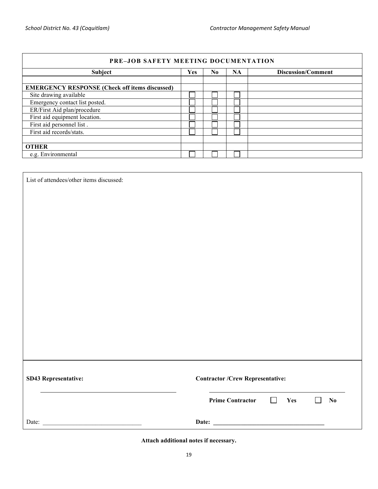| <b>PRE-JOB SAFETY MEETING DOCUMENTATION</b>           |            |     |           |                           |
|-------------------------------------------------------|------------|-----|-----------|---------------------------|
| <b>Subject</b>                                        | <b>Yes</b> | No. | <b>NA</b> | <b>Discussion/Comment</b> |
|                                                       |            |     |           |                           |
| <b>EMERGENCY RESPONSE (Check off items discussed)</b> |            |     |           |                           |
| Site drawing available                                |            |     |           |                           |
| Emergency contact list posted.                        |            |     |           |                           |
| ER/First Aid plan/procedure                           |            |     |           |                           |
| First aid equipment location.                         |            |     |           |                           |
| First aid personnel list.                             |            |     |           |                           |
| First aid records/stats.                              |            |     |           |                           |
|                                                       |            |     |           |                           |
| <b>OTHER</b>                                          |            |     |           |                           |
| e.g. Environmental                                    |            |     |           |                           |

List of attendees/other items discussed:

| <b>SD43 Representative:</b> | <b>Contractor /Crew Representative:</b>                                               |  |  |
|-----------------------------|---------------------------------------------------------------------------------------|--|--|
|                             | $\perp$<br>Yes<br>$\mathbf{N}\mathbf{0}$<br><b>Prime Contractor</b><br>$\blacksquare$ |  |  |
| Date:                       | Date:                                                                                 |  |  |

**Attach additional notes if necessary.**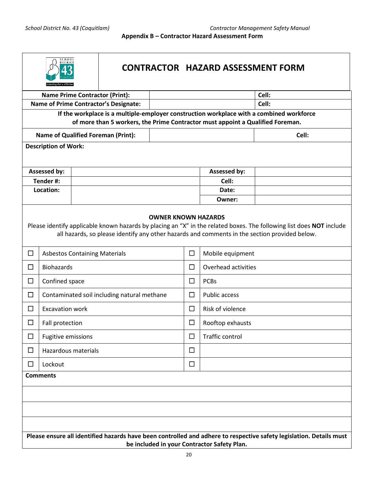**Appendix B – Contractor Hazard Assessment Form**

<span id="page-20-0"></span>

| $S$ C H O O L<br><b>DISTRIC</b>                                                                                                                                                                                                                                                                  |                                                                                                                                                                            | <b>CONTRACTOR HAZARD ASSESSMENT FORM</b>    |                                              |  |              |                     |       |
|--------------------------------------------------------------------------------------------------------------------------------------------------------------------------------------------------------------------------------------------------------------------------------------------------|----------------------------------------------------------------------------------------------------------------------------------------------------------------------------|---------------------------------------------|----------------------------------------------|--|--------------|---------------------|-------|
|                                                                                                                                                                                                                                                                                                  |                                                                                                                                                                            |                                             | <b>Name Prime Contractor (Print):</b>        |  |              |                     | Cell: |
|                                                                                                                                                                                                                                                                                                  |                                                                                                                                                                            |                                             | <b>Name of Prime Contractor's Designate:</b> |  |              |                     | Cell: |
|                                                                                                                                                                                                                                                                                                  | If the workplace is a multiple-employer construction workplace with a combined workforce<br>of more than 5 workers, the Prime Contractor must appoint a Qualified Foreman. |                                             |                                              |  |              |                     |       |
|                                                                                                                                                                                                                                                                                                  |                                                                                                                                                                            |                                             | <b>Name of Qualified Foreman (Print):</b>    |  |              |                     | Cell: |
|                                                                                                                                                                                                                                                                                                  | <b>Description of Work:</b>                                                                                                                                                |                                             |                                              |  |              |                     |       |
|                                                                                                                                                                                                                                                                                                  |                                                                                                                                                                            |                                             |                                              |  |              |                     |       |
|                                                                                                                                                                                                                                                                                                  | Assessed by:                                                                                                                                                               |                                             |                                              |  | Assessed by: |                     |       |
|                                                                                                                                                                                                                                                                                                  | Tender #:                                                                                                                                                                  |                                             |                                              |  |              | Cell:               |       |
|                                                                                                                                                                                                                                                                                                  | Location:                                                                                                                                                                  |                                             |                                              |  |              | Date:               |       |
|                                                                                                                                                                                                                                                                                                  |                                                                                                                                                                            |                                             |                                              |  |              | Owner:              |       |
| Please identify applicable known hazards by placing an "X" in the related boxes. The following list does NOT include<br>all hazards, so please identify any other hazards and comments in the section provided below.<br>□<br>$\Box$<br><b>Asbestos Containing Materials</b><br>Mobile equipment |                                                                                                                                                                            |                                             |                                              |  |              |                     |       |
| П                                                                                                                                                                                                                                                                                                |                                                                                                                                                                            | <b>Biohazards</b>                           |                                              |  | $\Box$       | Overhead activities |       |
| $\Box$                                                                                                                                                                                                                                                                                           |                                                                                                                                                                            | Confined space                              |                                              |  | $\Box$       | <b>PCBs</b>         |       |
| □                                                                                                                                                                                                                                                                                                |                                                                                                                                                                            | Contaminated soil including natural methane |                                              |  | □            | Public access       |       |
| □                                                                                                                                                                                                                                                                                                |                                                                                                                                                                            | <b>Excavation work</b>                      |                                              |  | $\Box$       | Risk of violence    |       |
| □                                                                                                                                                                                                                                                                                                | Fall protection                                                                                                                                                            |                                             |                                              |  | □            | Rooftop exhausts    |       |
| □                                                                                                                                                                                                                                                                                                |                                                                                                                                                                            | <b>Fugitive emissions</b>                   |                                              |  | $\Box$       | Traffic control     |       |
| □                                                                                                                                                                                                                                                                                                |                                                                                                                                                                            | Hazardous materials                         |                                              |  | □            |                     |       |
| □                                                                                                                                                                                                                                                                                                | Lockout                                                                                                                                                                    |                                             |                                              |  | $\Box$       |                     |       |
|                                                                                                                                                                                                                                                                                                  | <b>Comments</b>                                                                                                                                                            |                                             |                                              |  |              |                     |       |
|                                                                                                                                                                                                                                                                                                  |                                                                                                                                                                            |                                             |                                              |  |              |                     |       |
|                                                                                                                                                                                                                                                                                                  |                                                                                                                                                                            |                                             |                                              |  |              |                     |       |
|                                                                                                                                                                                                                                                                                                  |                                                                                                                                                                            |                                             |                                              |  |              |                     |       |
| Please ensure all identified hazards have been controlled and adhere to respective safety legislation. Details must                                                                                                                                                                              |                                                                                                                                                                            |                                             |                                              |  |              |                     |       |
| be included in your Contractor Safety Plan.                                                                                                                                                                                                                                                      |                                                                                                                                                                            |                                             |                                              |  |              |                     |       |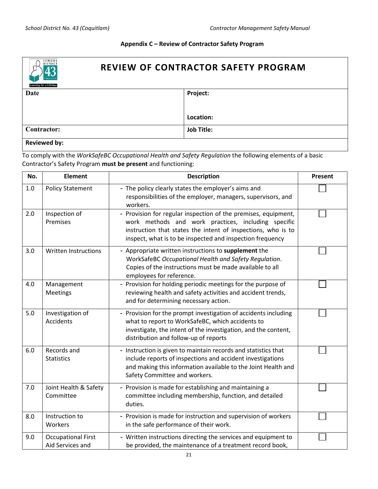#### **Appendix C – Review of Contractor Safety Program**

<span id="page-21-0"></span>

# **REVIEW OF CONTRACTOR SAFETY PROGRAM**

| $\sim$<br>Learning for a Lifetime |                   |
|-----------------------------------|-------------------|
| Date                              | Project:          |
|                                   |                   |
|                                   |                   |
|                                   |                   |
|                                   | Location:         |
| <b>Contractor:</b>                | <b>Job Title:</b> |
|                                   |                   |
| <b>Reviewed by:</b>               |                   |

To comply with the *WorkSafeBC Occupational Health and Safety Regulation* the following elements of a basic Contractor's Safety Program **must be present** and functioning:

| No. | <b>Element</b>                                | <b>Description</b>                                                                                                                                                                                                                                 | Present |
|-----|-----------------------------------------------|----------------------------------------------------------------------------------------------------------------------------------------------------------------------------------------------------------------------------------------------------|---------|
| 1.0 | <b>Policy Statement</b>                       | - The policy clearly states the employer's aims and<br>responsibilities of the employer, managers, supervisors, and<br>workers.                                                                                                                    |         |
| 2.0 | Inspection of<br>Premises                     | - Provision for regular inspection of the premises, equipment,<br>work methods and work practices, including specific<br>instruction that states the intent of inspections, who is to<br>inspect, what is to be inspected and inspection frequency |         |
| 3.0 | <b>Written Instructions</b>                   | - Appropriate written instructions to supplement the<br>WorkSafeBC Occupational Health and Safety Regulation.<br>Copies of the instructions must be made available to all<br>employees for reference.                                              |         |
| 4.0 | Management<br><b>Meetings</b>                 | - Provision for holding periodic meetings for the purpose of<br>reviewing health and safety activities and accident trends,<br>and for determining necessary action.                                                                               |         |
| 5.0 | Investigation of<br>Accidents                 | - Provision for the prompt investigation of accidents including<br>what to report to WorkSafeBC, which accidents to<br>investigate, the intent of the investigation, and the content,<br>distribution and follow-up of reports                     |         |
| 6.0 | Records and<br><b>Statistics</b>              | - Instruction is given to maintain records and statistics that<br>include reports of inspections and accident investigations<br>and making this information available to the Joint Health and<br>Safety Committee and workers.                     |         |
| 7.0 | Joint Health & Safety<br>Committee            | - Provision is made for establishing and maintaining a<br>committee including membership, function, and detailed<br>duties.                                                                                                                        |         |
| 8.0 | Instruction to<br>Workers                     | - Provision is made for instruction and supervision of workers<br>in the safe performance of their work.                                                                                                                                           |         |
| 9.0 | <b>Occupational First</b><br>Aid Services and | - Written instructions directing the services and equipment to<br>be provided, the maintenance of a treatment record book,                                                                                                                         |         |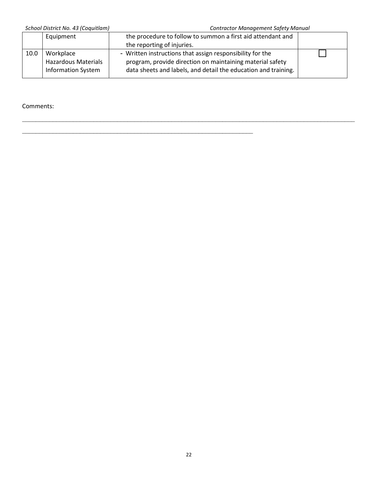*School District No. 43 (Coquitlam) Contractor Management Safety Manual*

|      | Equipment                  | the procedure to follow to summon a first aid attendant and    |  |
|------|----------------------------|----------------------------------------------------------------|--|
|      |                            | the reporting of injuries.                                     |  |
| 10.0 | Workplace                  | - Written instructions that assign responsibility for the      |  |
|      | <b>Hazardous Materials</b> | program, provide direction on maintaining material safety      |  |
|      | <b>Information System</b>  | data sheets and labels, and detail the education and training. |  |
|      |                            |                                                                |  |

\_\_\_\_\_\_\_\_\_\_\_\_\_\_\_\_\_\_\_\_\_\_\_\_\_\_\_\_\_\_\_\_\_\_\_\_\_\_\_\_\_\_\_\_\_\_\_\_\_\_\_\_\_\_\_\_\_\_\_\_\_\_\_\_\_\_\_\_\_\_\_\_\_\_\_\_\_\_\_\_\_\_\_\_\_\_\_\_\_\_\_\_\_\_\_\_\_\_

 $\mathcal{L}_\text{max}$  , and the contract of the contract of the contract of the contract of the contract of the contract of

Comments: